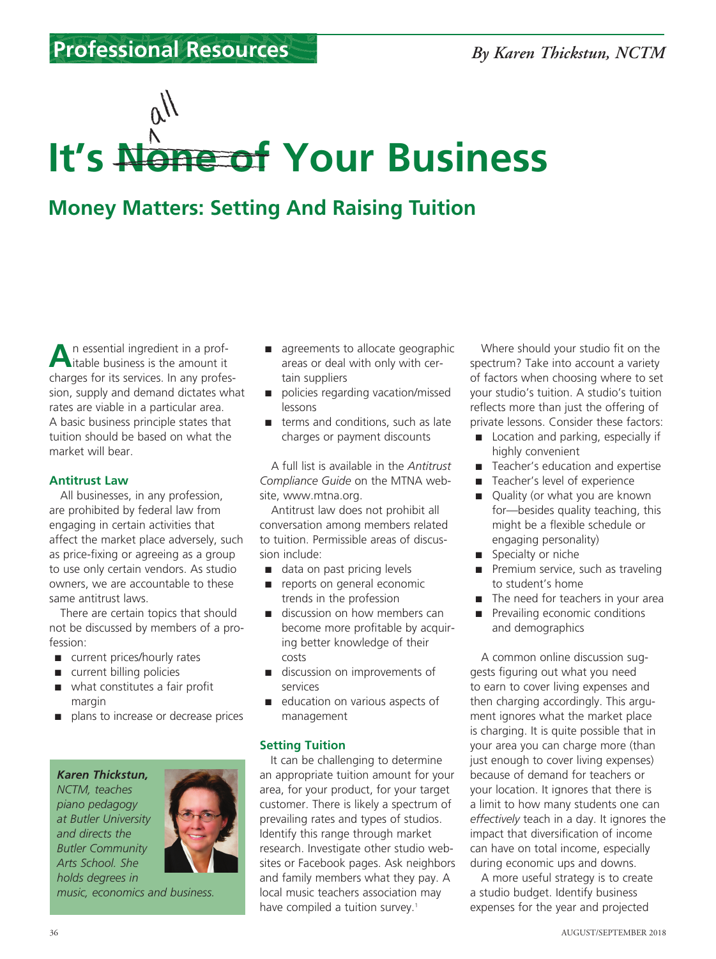# **It's None of Your Business**

# **Money Matters: Setting And Raising Tuition**

**A**n essential ingredient in a prof-itable business is the amount it charges for its services. In any profession, supply and demand dictates what rates are viable in a particular area. A basic business principle states that tuition should be based on what the market will bear.

## **Antitrust Law**

All businesses, in any profession, are prohibited by federal law from engaging in certain activities that affect the market place adversely, such as price-fixing or agreeing as a group to use only certain vendors. As studio owners, we are accountable to these same antitrust laws.

There are certain topics that should not be discussed by members of a profession:

- current prices/hourly rates
- current billing policies
- what constitutes a fair profit margin
- plans to increase or decrease prices





*music, economics and business.*

- agreements to allocate geographic areas or deal with only with certain suppliers
- policies regarding vacation/missed lessons
- terms and conditions, such as late charges or payment discounts

A full list is available in the *Antitrust Compliance Guide* on the MTNA website, www.mtna.org.

Antitrust law does not prohibit all conversation among members related to tuition. Permissible areas of discussion include:

- data on past pricing levels
- reports on general economic trends in the profession
- discussion on how members can become more profitable by acquiring better knowledge of their costs
- discussion on improvements of services
- education on various aspects of management

# **Setting Tuition**

It can be challenging to determine an appropriate tuition amount for your area, for your product, for your target customer. There is likely a spectrum of prevailing rates and types of studios. Identify this range through market research. Investigate other studio websites or Facebook pages. Ask neighbors and family members what they pay. A local music teachers association may have compiled a tuition survey.<sup>1</sup>

Where should your studio fit on the spectrum? Take into account a variety of factors when choosing where to set your studio's tuition. A studio's tuition reflects more than just the offering of private lessons. Consider these factors:

- Location and parking, especially if highly convenient
- Teacher's education and expertise
- Teacher's level of experience
- Quality (or what you are known for—besides quality teaching, this might be a flexible schedule or engaging personality)
- Specialty or niche
- Premium service, such as traveling to student's home
- The need for teachers in your area
- Prevailing economic conditions and demographics

A common online discussion suggests figuring out what you need to earn to cover living expenses and then charging accordingly. This argument ignores what the market place is charging. It is quite possible that in your area you can charge more (than just enough to cover living expenses) because of demand for teachers or your location. It ignores that there is a limit to how many students one can *effectively* teach in a day. It ignores the impact that diversification of income can have on total income, especially during economic ups and downs.

A more useful strategy is to create a studio budget. Identify business expenses for the year and projected